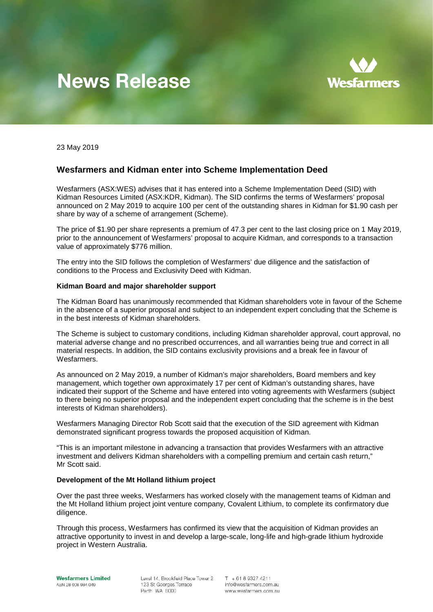# **News Release**



23 May 2019

## **Wesfarmers and Kidman enter into Scheme Implementation Deed**

Wesfarmers (ASX:WES) advises that it has entered into a Scheme Implementation Deed (SID) with Kidman Resources Limited (ASX:KDR, Kidman). The SID confirms the terms of Wesfarmers' proposal announced on 2 May 2019 to acquire 100 per cent of the outstanding shares in Kidman for \$1.90 cash per share by way of a scheme of arrangement (Scheme).

The price of \$1.90 per share represents a premium of 47.3 per cent to the last closing price on 1 May 2019, prior to the announcement of Wesfarmers' proposal to acquire Kidman, and corresponds to a transaction value of approximately \$776 million.

The entry into the SID follows the completion of Wesfarmers' due diligence and the satisfaction of conditions to the Process and Exclusivity Deed with Kidman.

#### **Kidman Board and major shareholder support**

The Kidman Board has unanimously recommended that Kidman shareholders vote in favour of the Scheme in the absence of a superior proposal and subject to an independent expert concluding that the Scheme is in the best interests of Kidman shareholders.

The Scheme is subject to customary conditions, including Kidman shareholder approval, court approval, no material adverse change and no prescribed occurrences, and all warranties being true and correct in all material respects. In addition, the SID contains exclusivity provisions and a break fee in favour of Wesfarmers.

As announced on 2 May 2019, a number of Kidman's major shareholders, Board members and key management, which together own approximately 17 per cent of Kidman's outstanding shares, have indicated their support of the Scheme and have entered into voting agreements with Wesfarmers (subject to there being no superior proposal and the independent expert concluding that the scheme is in the best interests of Kidman shareholders).

Wesfarmers Managing Director Rob Scott said that the execution of the SID agreement with Kidman demonstrated significant progress towards the proposed acquisition of Kidman.

"This is an important milestone in advancing a transaction that provides Wesfarmers with an attractive investment and delivers Kidman shareholders with a compelling premium and certain cash return," Mr Scott said.

#### **Development of the Mt Holland lithium project**

Over the past three weeks, Wesfarmers has worked closely with the management teams of Kidman and the Mt Holland lithium project joint venture company, Covalent Lithium, to complete its confirmatory due diligence.

Through this process, Wesfarmers has confirmed its view that the acquisition of Kidman provides an attractive opportunity to invest in and develop a large-scale, long-life and high-grade lithium hydroxide project in Western Australia.

Level 14. Brookfield Place Tower 2 123 St Georges Terrace Perth WA 6000

 $T + 61893274211$ info@wesfarmers.com.au www.wesfarmers.com.au